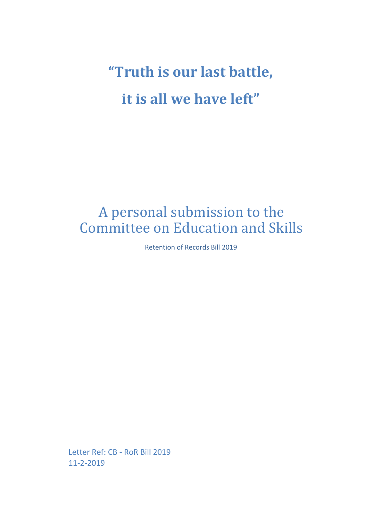**"Truth is our last battle, it is all we have left"**

# A personal submission to the Committee on Education and Skills

Retention of Records Bill 2019

Letter Ref: CB - RoR Bill 2019 11-2-2019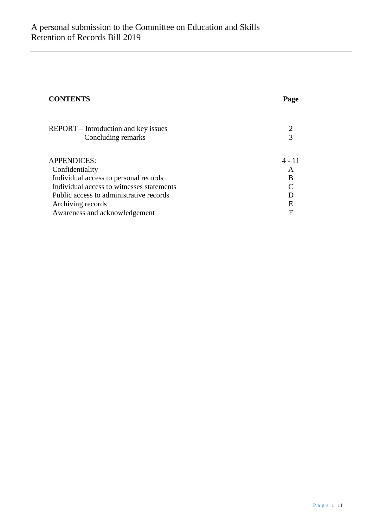| <b>CONTENTS</b>                           | Page   |
|-------------------------------------------|--------|
| REPORT – Introduction and key issues      |        |
| Concluding remarks                        |        |
| <b>APPENDICES:</b>                        | 4 - 11 |
| Confidentiality                           | A      |
| Individual access to personal records     | В      |
| Individual access to witnesses statements |        |
| Public access to administrative records   |        |
| Archiving records                         | E      |
| Awareness and acknowledgement             | F      |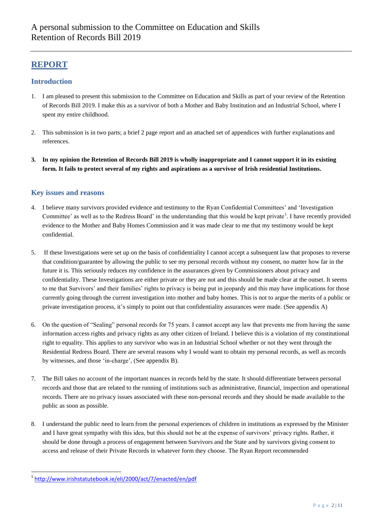## **REPORT**

#### **Introduction**

- 1. I am pleased to present this submission to the Committee on Education and Skills as part of your review of the Retention of Records Bill 2019. I make this as a survivor of both a Mother and Baby Institution and an Industrial School, where I spent my entire childhood.
- 2. This submission is in two parts; a brief 2 page report and an attached set of appendices with further explanations and references.
- **3. In my opinion the Retention of Records Bill 2019 is wholly inappropriate and I cannot support it in its existing form. It fails to protect several of my rights and aspirations as a survivor of Irish residential Institutions.**

#### **Key issues and reasons**

- 4. I believe many survivors provided evidence and testimony to the Ryan Confidential Committees" and "Investigation Committee' as well as to the Redress Board' in the understanding that this would be kept private<sup>1</sup>. I have recently provided evidence to the Mother and Baby Homes Commission and it was made clear to me that my testimony would be kept confidential.
- 5. If these Investigations were set up on the basis of confidentiality I cannot accept a subsequent law that proposes to reverse that condition/guarantee by allowing the public to see my personal records without my consent, no matter how far in the future it is. This seriously reduces my confidence in the assurances given by Commissioners about privacy and confidentiality. These Investigations are either private or they are not and this should be made clear at the outset. It seems to me that Survivors' and their families' rights to privacy is being put in jeopardy and this may have implications for those currently going through the current investigation into mother and baby homes. This is not to argue the merits of a public or private investigation process, it"s simply to point out that confidentiality assurances were made. (See appendix A)
- 6. On the question of "Sealing" personal records for 75 years. I cannot accept any law that prevents me from having the same information access rights and privacy rights as any other citizen of Ireland. I believe this is a violation of my constitutional right to equality. This applies to any survivor who was in an Industrial School whether or not they went through the Residential Redress Board. There are several reasons why I would want to obtain my personal records, as well as records by witnesses, and those "in-charge", (See appendix B).
- 7. The Bill takes no account of the important nuances in records held by the state. It should differentiate between personal records and those that are related to the running of institutions such as administrative, financial, inspection and operational records. There are no privacy issues associated with these non-personal records and they should be made available to the public as soon as possible.
- 8. I understand the public need to learn from the personal experiences of children in institutions as expressed by the Minister and I have great sympathy with this idea, but this should not be at the expense of survivors" privacy rights. Rather, it should be done through a process of engagement between Survivors and the State and by survivors giving consent to access and release of their Private Records in whatever form they choose. The Ryan Report recommended

 $\overline{a}$ <sup>1</sup><http://www.irishstatutebook.ie/eli/2000/act/7/enacted/en/pdf>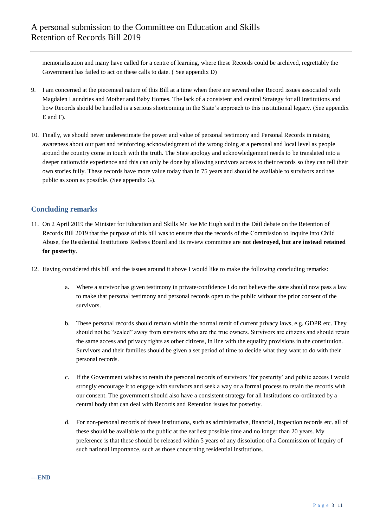memorialisation and many have called for a centre of learning, where these Records could be archived, regrettably the Government has failed to act on these calls to date. ( See appendix D)

- 9. I am concerned at the piecemeal nature of this Bill at a time when there are several other Record issues associated with Magdalen Laundries and Mother and Baby Homes. The lack of a consistent and central Strategy for all Institutions and how Records should be handled is a serious shortcoming in the State's approach to this institutional legacy. (See appendix E and F).
- 10. Finally, we should never underestimate the power and value of personal testimony and Personal Records in raising awareness about our past and reinforcing acknowledgment of the wrong doing at a personal and local level as people around the country come in touch with the truth. The State apology and acknowledgement needs to be translated into a deeper nationwide experience and this can only be done by allowing survivors access to their records so they can tell their own stories fully. These records have more value today than in 75 years and should be available to survivors and the public as soon as possible. (See appendix G).

### **Concluding remarks**

- 11. On 2 April 2019 the Minister for Education and Skills Mr Joe Mc Hugh said in the Dáil debate on the Retention of Records Bill 2019 that the purpose of this bill was to ensure that the records of the Commission to Inquire into Child Abuse, the Residential Institutions Redress Board and its review committee are **not destroyed, but are instead retained for posterity**.
- 12. Having considered this bill and the issues around it above I would like to make the following concluding remarks:
	- a. Where a survivor has given testimony in private/confidence I do not believe the state should now pass a law to make that personal testimony and personal records open to the public without the prior consent of the survivors.
	- b. These personal records should remain within the normal remit of current privacy laws, e.g. GDPR etc. They should not be "sealed" away from survivors who are the true owners. Survivors are citizens and should retain the same access and privacy rights as other citizens, in line with the equality provisions in the constitution. Survivors and their families should be given a set period of time to decide what they want to do with their personal records.
	- c. If the Government wishes to retain the personal records of survivors "for posterity" and public access I would strongly encourage it to engage with survivors and seek a way or a formal process to retain the records with our consent. The government should also have a consistent strategy for all Institutions co-ordinated by a central body that can deal with Records and Retention issues for posterity.
	- d. For non-personal records of these institutions, such as administrative, financial, inspection records etc. all of these should be available to the public at the earliest possible time and no longer than 20 years. My preference is that these should be released within 5 years of any dissolution of a Commission of Inquiry of such national importance, such as those concerning residential institutions.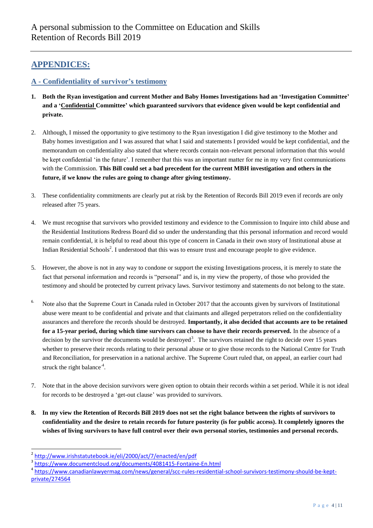## **APPENDICES:**

## **A - Confidentiality of survivor"s testimony**

- **1. Both the Ryan investigation and current Mother and Baby Homes Investigations had an "Investigation Committee" and a "Confidential Committee" which guaranteed survivors that evidence given would be kept confidential and private.**
- 2. Although, I missed the opportunity to give testimony to the Ryan investigation I did give testimony to the Mother and Baby homes investigation and I was assured that what I said and statements I provided would be kept confidential, and the memorandum on confidentiality also stated that where records contain non-relevant personal information that this would be kept confidential "in the future". I remember that this was an important matter for me in my very first communications with the Commission. **This Bill could set a bad precedent for the current MBH investigation and others in the future, if we know the rules are going to change after giving testimony.**
- 3. These confidentiality commitments are clearly put at risk by the Retention of Records Bill 2019 even if records are only released after 75 years.
- 4. We must recognise that survivors who provided testimony and evidence to the Commission to Inquire into child abuse and the Residential Institutions Redress Board did so under the understanding that this personal information and record would remain confidential, it is helpful to read about this type of concern in Canada in their own story of Institutional abuse at Indian Residential Schools<sup>2</sup>. I understood that this was to ensure trust and encourage people to give evidence.
- 5. However, the above is not in any way to condone or support the existing Investigations process, it is merely to state the fact that personal information and records is "personal" and is, in my view the property, of those who provided the testimony and should be protected by current privacy laws. Survivor testimony and statements do not belong to the state.
- <sup>6.</sup> Note also that the Supreme Court in Canada ruled in October 2017 that the accounts given by survivors of Institutional abuse were meant to be confidential and private and that claimants and alleged perpetrators relied on the confidentiality assurances and therefore the records should be destroyed. **Importantly, it also decided that accounts are to be retained for a 15-year period, during which time survivors can choose to have their records preserved.** In the absence of a decision by the survivor the documents would be destroyed<sup>3</sup>. The survivors retained the right to decide over 15 years whether to preserve their records relating to their personal abuse or to give those records to the National Centre for Truth and Reconciliation, for preservation in a national archive. The Supreme Court ruled that, on appeal, an earlier court had struck the right balance<sup>4</sup>.
- 7. Note that in the above decision survivors were given option to obtain their records within a set period. While it is not ideal for records to be destroyed a "get-out clause" was provided to survivors.
- **8. In my view the Retention of Records Bill 2019 does not set the right balance between the rights of survivors to confidentiality and the desire to retain records for future posterity (is for public access). It completely ignores the wishes of living survivors to have full control over their own personal stories, testimonies and personal records.**

l

<sup>&</sup>lt;sup>2</sup> <http://www.irishstatutebook.ie/eli/2000/act/7/enacted/en/pdf>

<sup>&</sup>lt;sup>3</sup> <https://www.documentcloud.org/documents/4081415-Fontaine-En.html>

<sup>4</sup> [https://www.canadianlawyermag.com/news/general/scc-rules-residential-school-survivors-testimony-should-be-kept](https://www.canadianlawyermag.com/news/general/scc-rules-residential-school-survivors-testimony-should-be-kept-private/274564)[private/274564](https://www.canadianlawyermag.com/news/general/scc-rules-residential-school-survivors-testimony-should-be-kept-private/274564)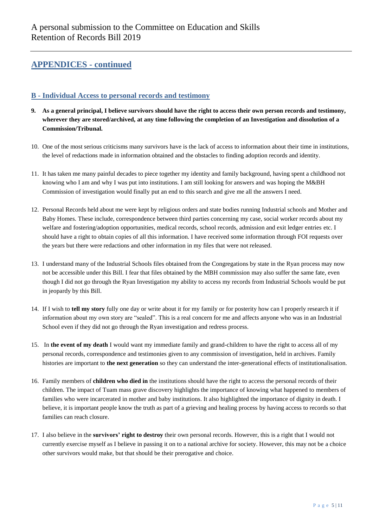#### **B - Individual Access to personal records and testimony**

- **9. As a general principal, I believe survivors should have the right to access their own person records and testimony, wherever they are stored/archived, at any time following the completion of an Investigation and dissolution of a Commission/Tribunal.**
- 10. One of the most serious criticisms many survivors have is the lack of access to information about their time in institutions, the level of redactions made in information obtained and the obstacles to finding adoption records and identity.
- 11. It has taken me many painful decades to piece together my identity and family background, having spent a childhood not knowing who I am and why I was put into institutions. I am still looking for answers and was hoping the M&BH Commission of investigation would finally put an end to this search and give me all the answers I need.
- 12. Personal Records held about me were kept by religious orders and state bodies running Industrial schools and Mother and Baby Homes. These include, correspondence between third parties concerning my case, social worker records about my welfare and fostering/adoption opportunities, medical records, school records, admission and exit ledger entries etc. I should have a right to obtain copies of all this information. I have received some information through FOI requests over the years but there were redactions and other information in my files that were not released.
- 13. I understand many of the Industrial Schools files obtained from the Congregations by state in the Ryan process may now not be accessible under this Bill. I fear that files obtained by the MBH commission may also suffer the same fate, even though I did not go through the Ryan Investigation my ability to access my records from Industrial Schools would be put in jeopardy by this Bill.
- 14. If I wish to **tell my story** fully one day or write about it for my family or for posterity how can I properly research it if information about my own story are "sealed". This is a real concern for me and affects anyone who was in an Industrial School even if they did not go through the Ryan investigation and redress process.
- 15. In **the event of my death** I would want my immediate family and grand-children to have the right to access all of my personal records, correspondence and testimonies given to any commission of investigation, held in archives. Family histories are important to **the next generation** so they can understand the inter-generational effects of institutionalisation.
- 16. Family members of **children who died in** the institutions should have the right to access the personal records of their children. The impact of Tuam mass grave discovery highlights the importance of knowing what happened to members of families who were incarcerated in mother and baby institutions. It also highlighted the importance of dignity in death. I believe, it is important people know the truth as part of a grieving and healing process by having access to records so that families can reach closure.
- 17. I also believe in the **survivors" right to destroy** their own personal records. However, this is a right that I would not currently exercise myself as I believe in passing it on to a national archive for society. However, this may not be a choice other survivors would make, but that should be their prerogative and choice.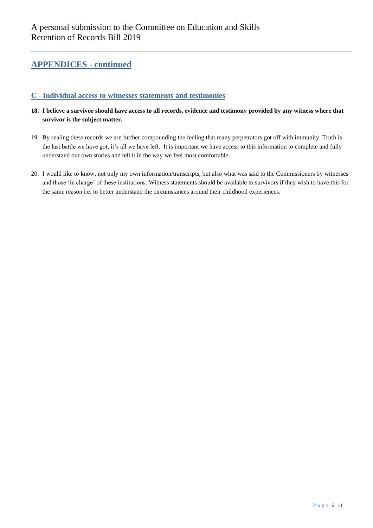#### **C - Individual access to witnesses statements and testimonies**

- **18. I believe a survivor should have access to all records, evidence and testimony provided by any witness where that survivor is the subject matter.**
- 19. By sealing these records we are further compounding the feeling that many perpetrators got off with immunity. Truth is the last battle we have got, it's all we have left. It is important we have access to this information to complete and fully understand our own stories and tell it in the way we feel most comfortable.
- 20. I would like to know, not only my own information/transcripts, but also what was said to the Commissioners by witnesses and those "in charge" of these institutions. Witness statements should be available to survivors if they wish to have this for the same reason i.e. to better understand the circumstances around their childhood experiences.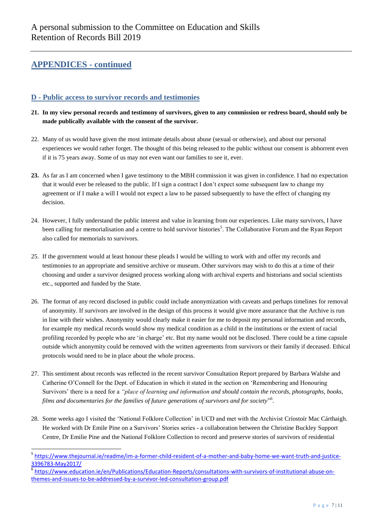l

#### **D - Public access to survivor records and testimonies**

- **21. In my view personal records and testimony of survivors, given to any commission or redress board, should only be made publically available with the consent of the survivor.**
- 22. Many of us would have given the most intimate details about abuse (sexual or otherwise), and about our personal experiences we would rather forget. The thought of this being released to the public without our consent is abhorrent even if it is 75 years away. Some of us may not even want our families to see it, ever.
- **23.** As far as I am concerned when I gave testimony to the MBH commission it was given in confidence. I had no expectation that it would ever be released to the public. If I sign a contract I don"t expect some subsequent law to change my agreement or if I make a will I would not expect a law to be passed subsequently to have the effect of changing my decision.
- 24. However, I fully understand the public interest and value in learning from our experiences. Like many survivors, I have been calling for memorialisation and a centre to hold survivor histories<sup>5</sup>. The Collaborative Forum and the Ryan Report also called for memorials to survivors.
- 25. If the government would at least honour these pleads I would be willing to work with and offer my records and testimonies to an appropriate and sensitive archive or museum. Other survivors may wish to do this at a time of their choosing and under a survivor designed process working along with archival experts and historians and social scientists etc., supported and funded by the State.
- 26. The format of any record disclosed in public could include anonymization with caveats and perhaps timelines for removal of anonymity. If survivors are involved in the design of this process it would give more assurance that the Archive is run in line with their wishes. Anonymity would clearly make it easier for me to deposit my personal information and records, for example my medical records would show my medical condition as a child in the institutions or the extent of racial profiling recorded by people who are "in charge" etc. But my name would not be disclosed. There could be a time capsule outside which anonymity could be removed with the written agreements from survivors or their family if deceased. Ethical protocols would need to be in place about the whole process.
- 27. This sentiment about records was reflected in the recent survivor Consultation Report prepared by Barbara Walshe and Catherine O"Connell for the Dept. of Education in which it stated in the section on "Remembering and Honouring Survivors' there is a need for a *"place of learning and information and should contain the records, photographs, books, films and documentaries for the families of future generations of survivors and for society*" 6 .
- 28. Some weeks ago I visited the "National Folklore Collection" in UCD and met with the Archivist Críostoír Mac Cárthaigh. He worked with Dr Emile Pine on a Survivors" Stories series - a collaboration between the [Christine Buckley](https://www.instazu.com/tag/ChristineBuckley) Support Centre, Dr Emilie Pine and the National Folklore Collection to record and preserve stories of survivors of residential

<sup>&</sup>lt;sup>5</sup> [https://www.thejournal.ie/readme/im-a-former-child-resident-of-a-mother-and-baby-home-we-want-truth-and-justice-](https://www.thejournal.ie/readme/im-a-former-child-resident-of-a-mother-and-baby-home-we-want-truth-and-justice-3396783-May2017/)[3396783-May2017/](https://www.thejournal.ie/readme/im-a-former-child-resident-of-a-mother-and-baby-home-we-want-truth-and-justice-3396783-May2017/)

<sup>6</sup> [https://www.education.ie/en/Publications/Education-Reports/consultations-with-survivors-of-institutional-abuse-on](https://www.education.ie/en/Publications/Education-Reports/consultations-with-survivors-of-institutional-abuse-on-themes-and-issues-to-be-addressed-by-a-survivor-led-consultation-group.pdf)[themes-and-issues-to-be-addressed-by-a-survivor-led-consultation-group.pdf](https://www.education.ie/en/Publications/Education-Reports/consultations-with-survivors-of-institutional-abuse-on-themes-and-issues-to-be-addressed-by-a-survivor-led-consultation-group.pdf)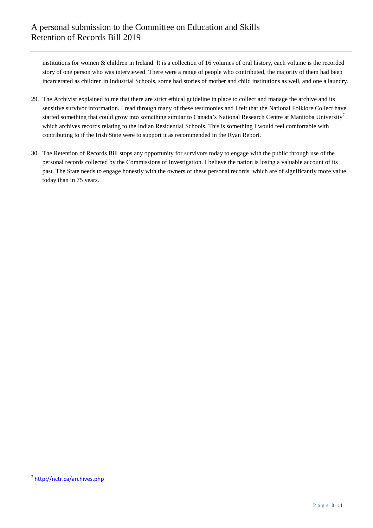institutions for women & children in Ireland. It is a collection of 16 volumes of oral history, each volume is the recorded story of one person who was interviewed. There were a range of people who contributed, the majority of them had been incarcerated as children in Industrial Schools, some had stories of mother and child institutions as well, and one a laundry.

- 29. The Archivist explained to me that there are strict ethical guideline in place to collect and manage the archive and its sensitive survivor information. I read through many of these testimonies and I felt that the National Folklore Collect have started something that could grow into something similar to Canada's National Research Centre at Manitoba University<sup>7</sup> which archives records relating to the Indian Residential Schools. This is something I would feel comfortable with contributing to if the Irish State were to support it as recommended in the Ryan Report.
- 30. The Retention of Records Bill stops any opportunity for survivors today to engage with the public through use of the personal records collected by the Commissions of Investigation. I believe the nation is losing a valuable account of its past. The State needs to engage honestly with the owners of these personal records, which are of significantly more value today than in 75 years.

 $\overline{a}$ <sup>7</sup> <http://nctr.ca/archives.php>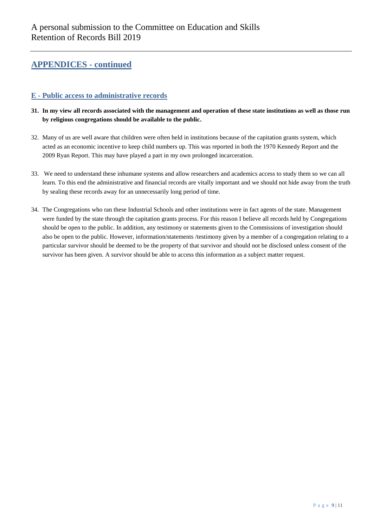#### **E - Public access to administrative records**

- **31. In my view all records associated with the management and operation of these state institutions as well as those run by religious congregations should be available to the public.**
- 32. Many of us are well aware that children were often held in institutions because of the capitation grants system, which acted as an economic incentive to keep child numbers up. This was reported in both the 1970 Kennedy Report and the 2009 Ryan Report. This may have played a part in my own prolonged incarceration.
- 33. We need to understand these inhumane systems and allow researchers and academics access to study them so we can all learn. To this end the administrative and financial records are vitally important and we should not hide away from the truth by sealing these records away for an unnecessarily long period of time.
- 34. The Congregations who ran these Industrial Schools and other institutions were in fact agents of the state. Management were funded by the state through the capitation grants process. For this reason I believe all records held by Congregations should be open to the public. In addition, any testimony or statements given to the Commissions of investigation should also be open to the public. However, information/statements /testimony given by a member of a congregation relating to a particular survivor should be deemed to be the property of that survivor and should not be disclosed unless consent of the survivor has been given. A survivor should be able to access this information as a subject matter request.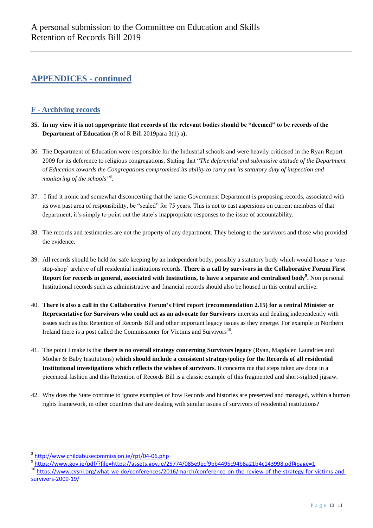## **F - Archiving records**

- **35. In my view it is not appropriate that records of the relevant bodies should be "deemed" to be records of the Department of Education** (R of R Bill 2019para 3(1) a**).**
- 36. The Department of Education were responsible for the Industrial schools and were heavily criticised in the Ryan Report 2009 for its deference to religious congregations. Stating that "*The deferential and submissive attitude of the Department of Education towards the Congregations compromised its ability to carry out its statutory duty of inspection and monitoring of the schools"* 8 .
- 37. I find it ironic and somewhat disconcerting that the same Government Department is proposing records, associated with its own past area of responsibility, be "sealed" for 75 years. This is not to cast aspersions on current members of that department, it's simply to point out the state's inappropriate responses to the issue of accountability.
- 38. The records and testimonies are not the property of any department. They belong to the survivors and those who provided the evidence.
- 39. All records should be held for safe keeping by an independent body, possibly a statutory body which would house a "onestop-shop" archive of all residential institutions records. **There is a call by survivors in the Collaborative Forum First Report for records in general, associated with Institutions, to have a separate and centralised body<sup>9</sup> .** Non personal Institutional records such as administrative and financial records should also be housed in this central archive.
- 40. **There is also a call in the Collaborative Forum"s First report (recommendation 2.15) for a central Minister or Representative for Survivors who could act as an advocate for Survivors** interests and dealing independently with issues such as this Retention of Records Bill and other important legacy issues as they emerge. For example in Northern Ireland there is a post called the Commissioner for Victims and Survivors<sup>10</sup>.
- 41. The point I make is that **there is no overall strategy concerning Survivors legacy** (Ryan, Magdalen Laundries and Mother & Baby Institutions) **which should include a consistent strategy/policy for the Records of all residential Institutional investigations which reflects the wishes of survivors**. It concerns me that steps taken are done in a piecemeal fashion and this Retention of Records Bill is a classic example of this fragmented and short-sighted jigsaw.
- 42. Why does the State continue to ignore examples of how Records and histories are preserved and managed, within a human rights framework, in other countries that are dealing with similar issues of survivors of residential institutions?

l

<sup>&</sup>lt;sup>8</sup> <http://www.childabusecommission.ie/rpt/04-06.php>

<sup>&</sup>lt;sup>9</sup> <https://www.gov.ie/pdf/?file=https://assets.gov.ie/25774/085e9ecf9bb4495c94b8a21b4c143998.pdf#page=1>

<sup>10</sup> [https://www.cvsni.org/what-we-do/conferences/2016/march/conference-on-the-review-of-the-strategy-for-victims-and](https://www.cvsni.org/what-we-do/conferences/2016/march/conference-on-the-review-of-the-strategy-for-victims-and-survivors-2009-19/)[survivors-2009-19/](https://www.cvsni.org/what-we-do/conferences/2016/march/conference-on-the-review-of-the-strategy-for-victims-and-survivors-2009-19/)